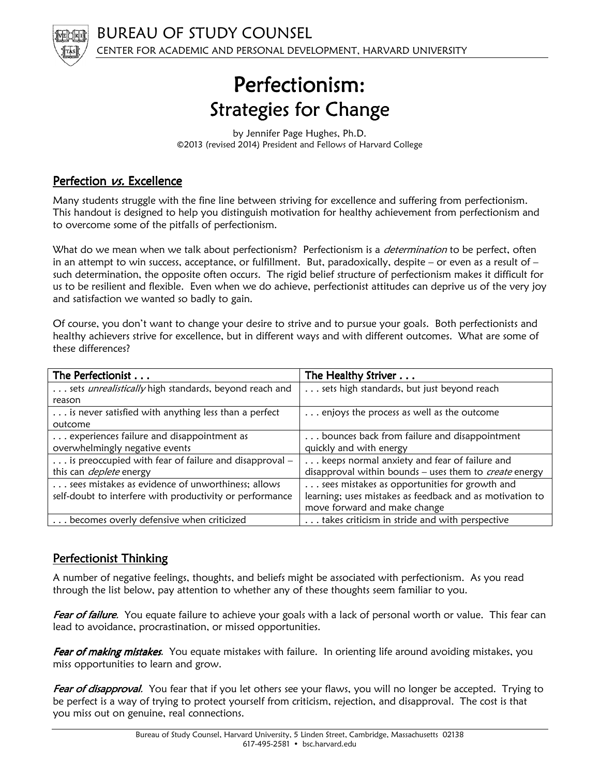

# Perfectionism: Strategies for Change

by Jennifer Page Hughes, Ph.D. ©2013 (revised 2014) President and Fellows of Harvard College

## Perfection *vs.* Excellence

Many students struggle with the fine line between striving for excellence and suffering from perfectionism. This handout is designed to help you distinguish motivation for healthy achievement from perfectionism and to overcome some of the pitfalls of perfectionism.

What do we mean when we talk about perfectionism? Perfectionism is a *determination* to be perfect, often in an attempt to win success, acceptance, or fulfillment. But, paradoxically, despite – or even as a result of  $$ such determination, the opposite often occurs. The rigid belief structure of perfectionism makes it difficult for us to be resilient and flexible. Even when we do achieve, perfectionist attitudes can deprive us of the very joy and satisfaction we wanted so badly to gain.

Of course, you don't want to change your desire to strive and to pursue your goals. Both perfectionists and healthy achievers strive for excellence, but in different ways and with different outcomes. What are some of these differences?

| The Perfectionist                                        | The Healthy Striver                                      |
|----------------------------------------------------------|----------------------------------------------------------|
| sets unrealistically high standards, beyond reach and    | sets high standards, but just beyond reach               |
| reason                                                   |                                                          |
| is never satisfied with anything less than a perfect     | enjoys the process as well as the outcome                |
| outcome                                                  |                                                          |
| experiences failure and disappointment as                | bounces back from failure and disappointment             |
| overwhelmingly negative events                           | quickly and with energy                                  |
| is preoccupied with fear of failure and disapproval -    | keeps normal anxiety and fear of failure and             |
| this can <i>deplete</i> energy                           | disapproval within bounds - uses them to create energy   |
| sees mistakes as evidence of unworthiness; allows        | sees mistakes as opportunities for growth and            |
| self-doubt to interfere with productivity or performance | learning; uses mistakes as feedback and as motivation to |
|                                                          | move forward and make change                             |
| becomes overly defensive when criticized                 | takes criticism in stride and with perspective           |

## Perfectionist Thinking

A number of negative feelings, thoughts, and beliefs might be associated with perfectionism. As you read through the list below, pay attention to whether any of these thoughts seem familiar to you.

Fear of failure. You equate failure to achieve your goals with a lack of personal worth or value. This fear can lead to avoidance, procrastination, or missed opportunities.

Fear of making mistakes. You equate mistakes with failure. In orienting life around avoiding mistakes, you miss opportunities to learn and grow.

Fear of disapproval. You fear that if you let others see your flaws, you will no longer be accepted. Trying to be perfect is a way of trying to protect yourself from criticism, rejection, and disapproval. The cost is that you miss out on genuine, real connections.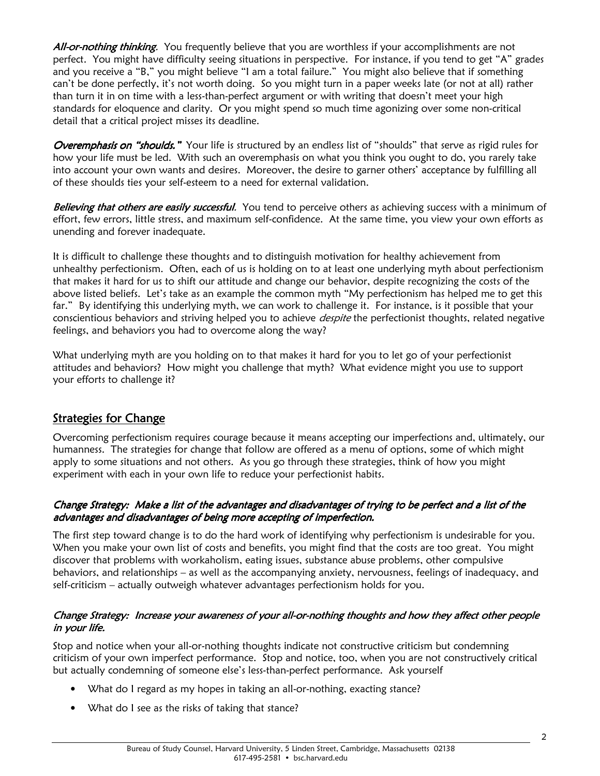All-or-nothing thinking. You frequently believe that you are worthless if your accomplishments are not perfect. You might have difficulty seeing situations in perspective. For instance, if you tend to get "A" grades and you receive a "B," you might believe "I am a total failure." You might also believe that if something can't be done perfectly, it's not worth doing. So you might turn in a paper weeks late (or not at all) rather than turn it in on time with a less-than-perfect argument or with writing that doesn't meet your high standards for eloquence and clarity. Or you might spend so much time agonizing over some non-critical detail that a critical project misses its deadline.

Overemphasis on "shoulds." Your life is structured by an endless list of "shoulds" that serve as rigid rules for how your life must be led. With such an overemphasis on what you think you ought to do, you rarely take into account your own wants and desires. Moreover, the desire to garner others' acceptance by fulfilling all of these shoulds ties your self-esteem to a need for external validation.

Believing that others are easily successful. You tend to perceive others as achieving success with a minimum of effort, few errors, little stress, and maximum self-confidence. At the same time, you view your own efforts as unending and forever inadequate.

It is difficult to challenge these thoughts and to distinguish motivation for healthy achievement from unhealthy perfectionism. Often, each of us is holding on to at least one underlying myth about perfectionism that makes it hard for us to shift our attitude and change our behavior, despite recognizing the costs of the above listed beliefs. Let's take as an example the common myth "My perfectionism has helped me to get this far." By identifying this underlying myth, we can work to challenge it. For instance, is it possible that your conscientious behaviors and striving helped you to achieve *despite* the perfectionist thoughts, related negative feelings, and behaviors you had to overcome along the way?

What underlying myth are you holding on to that makes it hard for you to let go of your perfectionist attitudes and behaviors? How might you challenge that myth? What evidence might you use to support your efforts to challenge it?

# **Strategies for Change**

Overcoming perfectionism requires courage because it means accepting our imperfections and, ultimately, our humanness. The strategies for change that follow are offered as a menu of options, some of which might apply to some situations and not others. As you go through these strategies, think of how you might experiment with each in your own life to reduce your perfectionist habits.

#### Change Strategy: Make a list of the advantages and disadvantages of trying to be perfect and a list of the advantages and disadvantages of being more accepting of imperfection.

The first step toward change is to do the hard work of identifying why perfectionism is undesirable for you. When you make your own list of costs and benefits, you might find that the costs are too great. You might discover that problems with workaholism, eating issues, substance abuse problems, other compulsive behaviors, and relationships – as well as the accompanying anxiety, nervousness, feelings of inadequacy, and self-criticism – actually outweigh whatever advantages perfectionism holds for you.

#### Change Strategy: Increase your awareness of your all-or-nothing thoughts and how they affect other people in your life.

Stop and notice when your all-or-nothing thoughts indicate not constructive criticism but condemning criticism of your own imperfect performance. Stop and notice, too, when you are not constructively critical but actually condemning of someone else's less-than-perfect performance. Ask yourself

- What do I regard as my hopes in taking an all-or-nothing, exacting stance?
- What do I see as the risks of taking that stance?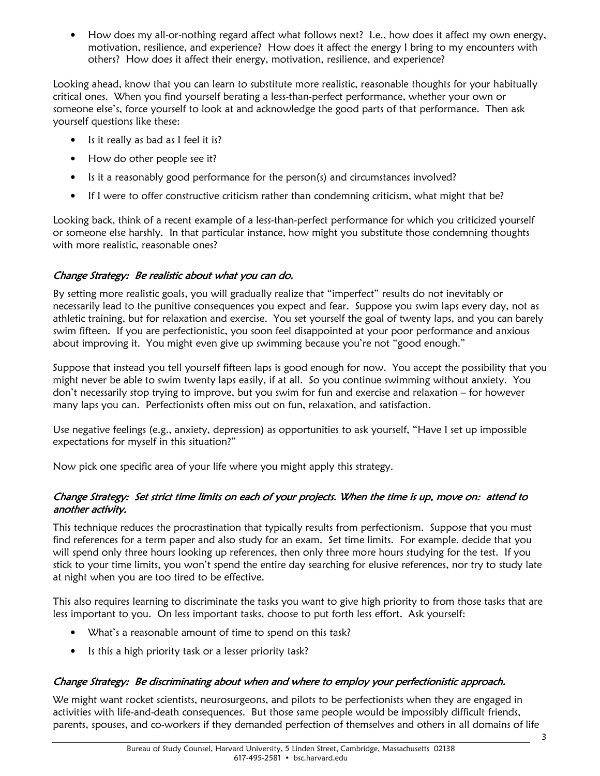• How does my all-or-nothing regard affect what follows next? I.e., how does it affect my own energy, motivation, resilience, and experience? How does it affect the energy I bring to my encounters with others? How does it affect their energy, motivation, resilience, and experience?

Looking ahead, know that you can learn to substitute more realistic, reasonable thoughts for your habitually critical ones. When you find yourself berating a less-than-perfect performance, whether your own or someone else's, force yourself to look at and acknowledge the good parts of that performance. Then ask yourself questions like these:

- Is it really as bad as I feel it is?
- How do other people see it?
- Is it a reasonably good performance for the person(s) and circumstances involved?
- If I were to offer constructive criticism rather than condemning criticism, what might that be?

Looking back, think of a recent example of a less-than-perfect performance for which you criticized yourself or someone else harshly. In that particular instance, how might you substitute those condemning thoughts with more realistic, reasonable ones?

#### Change Strategy: Be realistic about what you can do.

By setting more realistic goals, you will gradually realize that "imperfect" results do not inevitably or necessarily lead to the punitive consequences you expect and fear. Suppose you swim laps every day, not as athletic training, but for relaxation and exercise. You set yourself the goal of twenty laps, and you can barely swim fifteen. If you are perfectionistic, you soon feel disappointed at your poor performance and anxious about improving it. You might even give up swimming because you're not "good enough."

Suppose that instead you tell yourself fifteen laps is good enough for now. You accept the possibility that you might never be able to swim twenty laps easily, if at all. So you continue swimming without anxiety. You don't necessarily stop trying to improve, but you swim for fun and exercise and relaxation – for however many laps you can. Perfectionists often miss out on fun, relaxation, and satisfaction.

Use negative feelings (e.g., anxiety, depression) as opportunities to ask yourself, "Have I set up impossible expectations for myself in this situation?"

Now pick one specific area of your life where you might apply this strategy.

#### Change Strategy: Set strict time limits on each of your projects. When the time is up, move on: attend to another activity.

This technique reduces the procrastination that typically results from perfectionism. Suppose that you must find references for a term paper and also study for an exam. Set time limits. For example. decide that you will spend only three hours looking up references, then only three more hours studying for the test. If you stick to your time limits, you won't spend the entire day searching for elusive references, nor try to study late at night when you are too tired to be effective.

This also requires learning to discriminate the tasks you want to give high priority to from those tasks that are less important to you. On less important tasks, choose to put forth less effort. Ask yourself:

- What's a reasonable amount of time to spend on this task?
- Is this a high priority task or a lesser priority task?

#### Change Strategy: Be discriminating about when and where to employ your perfectionistic approach.

We might want rocket scientists, neurosurgeons, and pilots to be perfectionists when they are engaged in activities with life-and-death consequences. But those same people would be impossibly difficult friends, parents, spouses, and co-workers if they demanded perfection of themselves and others in all domains of life